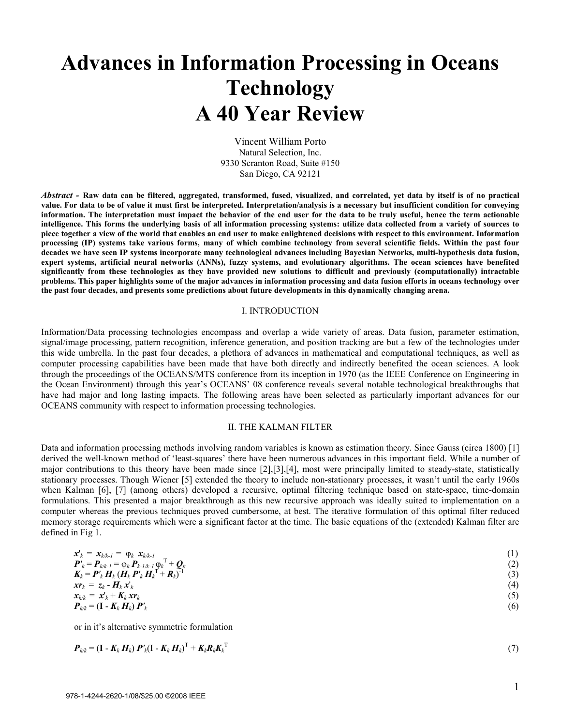# **Advances in Information Processing in Oceans Technology A 40 Year Review**

Vincent William Porto Natural Selection, Inc. 9330 Scranton Road, Suite #150 San Diego, CA 92121

*Abstract -* **Raw data can be filtered, aggregated, transformed, fused, visualized, and correlated, yet data by itself is of no practical value. For data to be of value it must first be interpreted. Interpretation/analysis is a necessary but insufficient condition for conveying information. The interpretation must impact the behavior of the end user for the data to be truly useful, hence the term actionable intelligence. This forms the underlying basis of all information processing systems: utilize data collected from a variety of sources to piece together a view of the world that enables an end user to make enlightened decisions with respect to this environment. Information processing (IP) systems take various forms, many of which combine technology from several scientific fields. Within the past four decades we have seen IP systems incorporate many technological advances including Bayesian Networks, multi-hypothesis data fusion, expert systems, artificial neural networks (ANNs), fuzzy systems, and evolutionary algorithms. The ocean sciences have benefited significantly from these technologies as they have provided new solutions to difficult and previously (computationally) intractable problems. This paper highlights some of the major advances in information processing and data fusion efforts in oceans technology over the past four decades, and presents some predictions about future developments in this dynamically changing arena.**

#### I. INTRODUCTION

Information/Data processing technologies encompass and overlap a wide variety of areas. Data fusion, parameter estimation, signal/image processing, pattern recognition, inference generation, and position tracking are but a few of the technologies under this wide umbrella. In the past four decades, a plethora of advances in mathematical and computational techniques, as well as computer processing capabilities have been made that have both directly and indirectly benefited the ocean sciences. A look through the proceedings of the OCEANS/MTS conference from its inception in 1970 (as the IEEE Conference on Engineering in the Ocean Environment) through this year's OCEANS' 08 conference reveals several notable technological breakthroughs that have had major and long lasting impacts. The following areas have been selected as particularly important advances for our OCEANS community with respect to information processing technologies.

#### II. THE KALMAN FILTER

Data and information processing methods involving random variables is known as estimation theory. Since Gauss (circa 1800) [1] derived the well-known method of 'least-squares' there have been numerous advances in this important field. While a number of major contributions to this theory have been made since [2],[3],[4], most were principally limited to steady-state, statistically stationary processes. Though Wiener [5] extended the theory to include non-stationary processes, it wasn't until the early 1960s when Kalman [6], [7] (among others) developed a recursive, optimal filtering technique based on state-space, time-domain formulations. This presented a major breakthrough as this new recursive approach was ideally suited to implementation on a computer whereas the previous techniques proved cumbersome, at best. The iterative formulation of this optimal filter reduced memory storage requirements which were a significant factor at the time. The basic equations of the (extended) Kalman filter are defined in Fig 1.

$$
\mathbf{x}'_k = \mathbf{x}_{k/k-1} = \varphi_k \ \mathbf{x}_{k/k-1} \\ \mathbf{P}'_k = \mathbf{P}_{k/k-1} = \varphi_k \ \mathbf{P}_{k-1/k-1} \varphi_k^{\mathrm{T}} + \mathbf{Q}_k \\ \mathbf{K}_k = \mathbf{P}'_k \ \mathbf{H}_k \left( \mathbf{H}_k \ \mathbf{P}'_k \ \mathbf{H}_k^{\mathrm{T}} + \mathbf{R}_k \right)^{-1} \\ \mathbf{x}_{k} = \mathbf{z}_k - \mathbf{H}_k \ \mathbf{x}'_k \\ \mathbf{x}_{k/k} = \mathbf{x}'_k + \mathbf{K}_k \ \mathbf{x}_{k} \\ \mathbf{P}_{k/k} = (\mathbf{I} - \mathbf{K}_k \ \mathbf{H}_k) \ \mathbf{P}'_k \tag{6}
$$

or in it's alternative symmetric formulation

$$
\boldsymbol{P}_{k/k} = (\mathbf{I} - \boldsymbol{K}_k \boldsymbol{H}_k) \boldsymbol{P}_k' (\mathbf{I} - \boldsymbol{K}_k \boldsymbol{H}_k)^{\mathrm{T}} + \boldsymbol{K}_k \boldsymbol{R}_k \boldsymbol{K}_k^{\mathrm{T}} \tag{7}
$$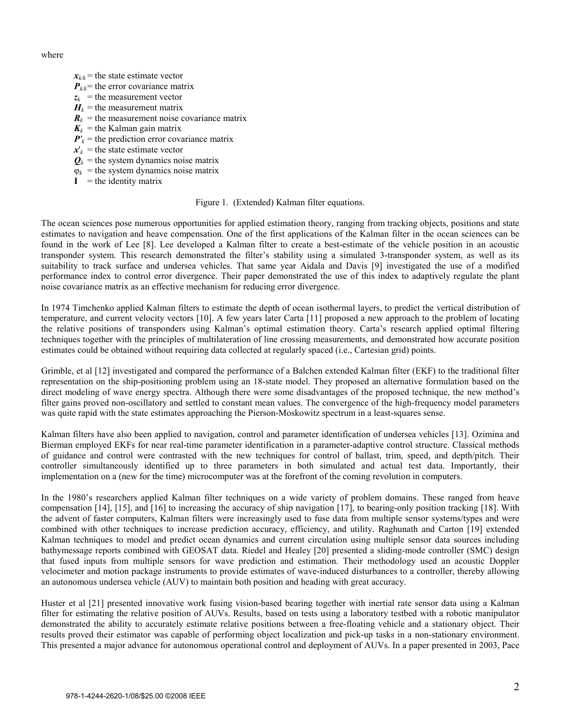where

- $x_{k/k}$  = the state estimate vector
- $P_{k/k}$  = the error covariance matrix
- $z_k$  = the measurement vector
- $H_k$  = the measurement matrix
- **= the measurement noise covariance matrix**
- $K_k$  = the Kalman gain matrix
- $P'_{k}$  = the prediction error covariance matrix
- $x'_{k}$  = the state estimate vector
- $\mathbf{Q}_k$  = the system dynamics noise matrix
- $\varphi_k$  = the system dynamics noise matrix
- $I =$  the identity matrix

# Figure 1. (Extended) Kalman filter equations.

The ocean sciences pose numerous opportunities for applied estimation theory, ranging from tracking objects, positions and state estimates to navigation and heave compensation. One of the first applications of the Kalman filter in the ocean sciences can be found in the work of Lee [8]. Lee developed a Kalman filter to create a best-estimate of the vehicle position in an acoustic transponder system. This research demonstrated the filter's stability using a simulated 3-transponder system, as well as its suitability to track surface and undersea vehicles. That same year Aidala and Davis [9] investigated the use of a modified performance index to control error divergence. Their paper demonstrated the use of this index to adaptively regulate the plant noise covariance matrix as an effective mechanism for reducing error divergence.

In 1974 Timchenko applied Kalman filters to estimate the depth of ocean isothermal layers, to predict the vertical distribution of temperature, and current velocity vectors [10]. A few years later Carta [11] proposed a new approach to the problem of locating the relative positions of transponders using Kalman's optimal estimation theory. Carta's research applied optimal filtering techniques together with the principles of multilateration of line crossing measurements, and demonstrated how accurate position estimates could be obtained without requiring data collected at regularly spaced (i.e., Cartesian grid) points.

Grimble, et al [12] investigated and compared the performance of a Balchen extended Kalman filter (EKF) to the traditional filter representation on the ship-positioning problem using an 18-state model. They proposed an alternative formulation based on the direct modeling of wave energy spectra. Although there were some disadvantages of the proposed technique, the new method's filter gains proved non-oscillatory and settled to constant mean values. The convergence of the high-frequency model parameters was quite rapid with the state estimates approaching the Pierson-Moskowitz spectrum in a least-squares sense.

Kalman filters have also been applied to navigation, control and parameter identification of undersea vehicles [13]. Ozimina and Bierman employed EKFs for near real-time parameter identification in a parameter-adaptive control structure. Classical methods of guidance and control were contrasted with the new techniques for control of ballast, trim, speed, and depth/pitch. Their controller simultaneously identified up to three parameters in both simulated and actual test data. Importantly, their implementation on a (new for the time) microcomputer was at the forefront of the coming revolution in computers.

In the 1980's researchers applied Kalman filter techniques on a wide variety of problem domains. These ranged from heave compensation [14], [15], and [16] to increasing the accuracy of ship navigation [17], to bearing-only position tracking [18]. With the advent of faster computers, Kalman filters were increasingly used to fuse data from multiple sensor systems/types and were combined with other techniques to increase prediction accuracy, efficiency, and utility. Raghunath and Carton [19] extended Kalman techniques to model and predict ocean dynamics and current circulation using multiple sensor data sources including bathymessage reports combined with GEOSAT data. Riedel and Healey [20] presented a sliding-mode controller (SMC) design that fused inputs from multiple sensors for wave prediction and estimation. Their methodology used an acoustic Doppler velocimeter and motion package instruments to provide estimates of wave-induced disturbances to a controller, thereby allowing an autonomous undersea vehicle (AUV) to maintain both position and heading with great accuracy.

Huster et al [21] presented innovative work fusing vision-based bearing together with inertial rate sensor data using a Kalman filter for estimating the relative position of AUVs. Results, based on tests using a laboratory testbed with a robotic manipulator demonstrated the ability to accurately estimate relative positions between a free-floating vehicle and a stationary object. Their results proved their estimator was capable of performing object localization and pick-up tasks in a non-stationary environment. This presented a major advance for autonomous operational control and deployment of AUVs. In a paper presented in 2003, Pace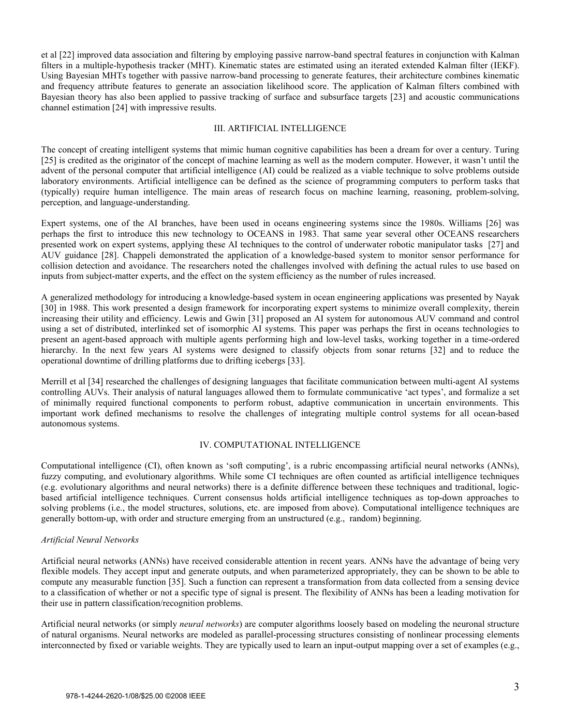et al [22] improved data association and filtering by employing passive narrow-band spectral features in conjunction with Kalman filters in a multiple-hypothesis tracker (MHT). Kinematic states are estimated using an iterated extended Kalman filter (IEKF). Using Bayesian MHTs together with passive narrow-band processing to generate features, their architecture combines kinematic and frequency attribute features to generate an association likelihood score. The application of Kalman filters combined with Bayesian theory has also been applied to passive tracking of surface and subsurface targets [23] and acoustic communications channel estimation [24] with impressive results.

### III. ARTIFICIAL INTELLIGENCE

The concept of creating intelligent systems that mimic human cognitive capabilities has been a dream for over a century. Turing [25] is credited as the originator of the concept of machine learning as well as the modern computer. However, it wasn't until the advent of the personal computer that artificial intelligence (AI) could be realized as a viable technique to solve problems outside laboratory environments. Artificial intelligence can be defined as the science of programming computers to perform tasks that (typically) require human intelligence. The main areas of research focus on machine learning, reasoning, problem-solving, perception, and language-understanding.

Expert systems, one of the AI branches, have been used in oceans engineering systems since the 1980s. Williams [26] was perhaps the first to introduce this new technology to OCEANS in 1983. That same year several other OCEANS researchers presented work on expert systems, applying these AI techniques to the control of underwater robotic manipulator tasks [27] and AUV guidance [28]. Chappeli demonstrated the application of a knowledge-based system to monitor sensor performance for collision detection and avoidance. The researchers noted the challenges involved with defining the actual rules to use based on inputs from subject-matter experts, and the effect on the system efficiency as the number of rules increased.

A generalized methodology for introducing a knowledge-based system in ocean engineering applications was presented by Nayak [30] in 1988. This work presented a design framework for incorporating expert systems to minimize overall complexity, therein increasing their utility and efficiency. Lewis and Gwin [31] proposed an AI system for autonomous AUV command and control using a set of distributed, interlinked set of isomorphic AI systems. This paper was perhaps the first in oceans technologies to present an agent-based approach with multiple agents performing high and low-level tasks, working together in a time-ordered hierarchy. In the next few years AI systems were designed to classify objects from sonar returns [32] and to reduce the operational downtime of drilling platforms due to drifting icebergs [33].

Merrill et al [34] researched the challenges of designing languages that facilitate communication between multi-agent AI systems controlling AUVs. Their analysis of natural languages allowed them to formulate communicative 'act types', and formalize a set of minimally required functional components to perform robust, adaptive communication in uncertain environments. This important work defined mechanisms to resolve the challenges of integrating multiple control systems for all ocean-based autonomous systems.

# IV. COMPUTATIONAL INTELLIGENCE

Computational intelligence (CI), often known as 'soft computing', is a rubric encompassing artificial neural networks (ANNs), fuzzy computing, and evolutionary algorithms. While some CI techniques are often counted as artificial intelligence techniques (e.g. evolutionary algorithms and neural networks) there is a definite difference between these techniques and traditional, logicbased artificial intelligence techniques. Current consensus holds artificial intelligence techniques as top-down approaches to solving problems (i.e., the model structures, solutions, etc. are imposed from above). Computational intelligence techniques are generally bottom-up, with order and structure emerging from an unstructured (e.g., random) beginning.

# *Artificial Neural Networks*

Artificial neural networks (ANNs) have received considerable attention in recent years. ANNs have the advantage of being very flexible models. They accept input and generate outputs, and when parameterized appropriately, they can be shown to be able to compute any measurable function [35]. Such a function can represent a transformation from data collected from a sensing device to a classification of whether or not a specific type of signal is present. The flexibility of ANNs has been a leading motivation for their use in pattern classification/recognition problems.

Artificial neural networks (or simply *neural networks*) are computer algorithms loosely based on modeling the neuronal structure of natural organisms. Neural networks are modeled as parallel-processing structures consisting of nonlinear processing elements interconnected by fixed or variable weights. They are typically used to learn an input-output mapping over a set of examples (e.g.,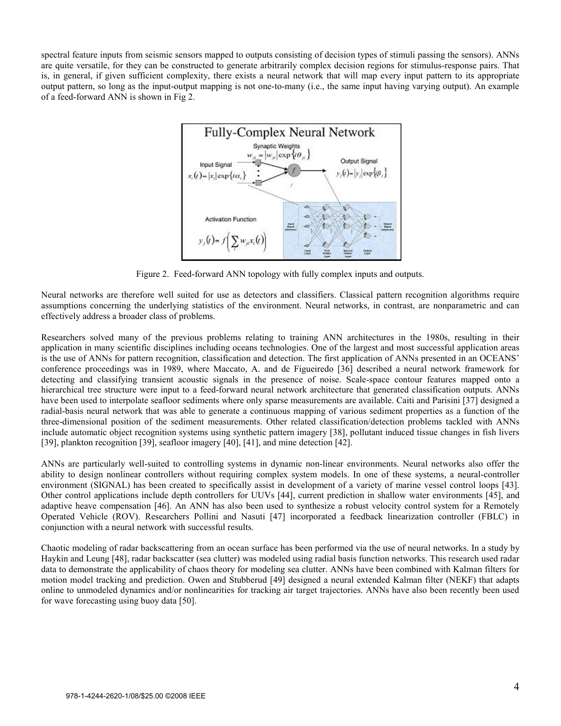spectral feature inputs from seismic sensors mapped to outputs consisting of decision types of stimuli passing the sensors). ANNs are quite versatile, for they can be constructed to generate arbitrarily complex decision regions for stimulus-response pairs. That is, in general, if given sufficient complexity, there exists a neural network that will map every input pattern to its appropriate output pattern, so long as the input-output mapping is not one-to-many (i.e., the same input having varying output). An example of a feed-forward ANN is shown in Fig 2.



Figure 2. Feed-forward ANN topology with fully complex inputs and outputs.

Neural networks are therefore well suited for use as detectors and classifiers. Classical pattern recognition algorithms require assumptions concerning the underlying statistics of the environment. Neural networks, in contrast, are nonparametric and can effectively address a broader class of problems.

Researchers solved many of the previous problems relating to training ANN architectures in the 1980s, resulting in their application in many scientific disciplines including oceans technologies. One of the largest and most successful application areas is the use of ANNs for pattern recognition, classification and detection. The first application of ANNs presented in an OCEANS' conference proceedings was in 1989, where Maccato, A. and de Figueiredo [36] described a neural network framework for detecting and classifying transient acoustic signals in the presence of noise. Scale-space contour features mapped onto a hierarchical tree structure were input to a feed-forward neural network architecture that generated classification outputs. ANNs have been used to interpolate seafloor sediments where only sparse measurements are available. Caiti and Parisini [37] designed a radial-basis neural network that was able to generate a continuous mapping of various sediment properties as a function of the three-dimensional position of the sediment measurements. Other related classification/detection problems tackled with ANNs include automatic object recognition systems using synthetic pattern imagery [38], pollutant induced tissue changes in fish livers [39], plankton recognition [39], seafloor imagery [40], [41], and mine detection [42].

ANNs are particularly well-suited to controlling systems in dynamic non-linear environments. Neural networks also offer the ability to design nonlinear controllers without requiring complex system models. In one of these systems, a neural-controller environment (SIGNAL) has been created to specifically assist in development of a variety of marine vessel control loops [43]. Other control applications include depth controllers for UUVs [44], current prediction in shallow water environments [45], and adaptive heave compensation [46]. An ANN has also been used to synthesize a robust velocity control system for a Remotely Operated Vehicle (ROV). Researchers Pollini and Nasuti [47] incorporated a feedback linearization controller (FBLC) in conjunction with a neural network with successful results.

Chaotic modeling of radar backscattering from an ocean surface has been performed via the use of neural networks. In a study by Haykin and Leung [48], radar backscatter (sea clutter) was modeled using radial basis function networks. This research used radar data to demonstrate the applicability of chaos theory for modeling sea clutter. ANNs have been combined with Kalman filters for motion model tracking and prediction. Owen and Stubberud [49] designed a neural extended Kalman filter (NEKF) that adapts online to unmodeled dynamics and/or nonlinearities for tracking air target trajectories. ANNs have also been recently been used for wave forecasting using buoy data [50].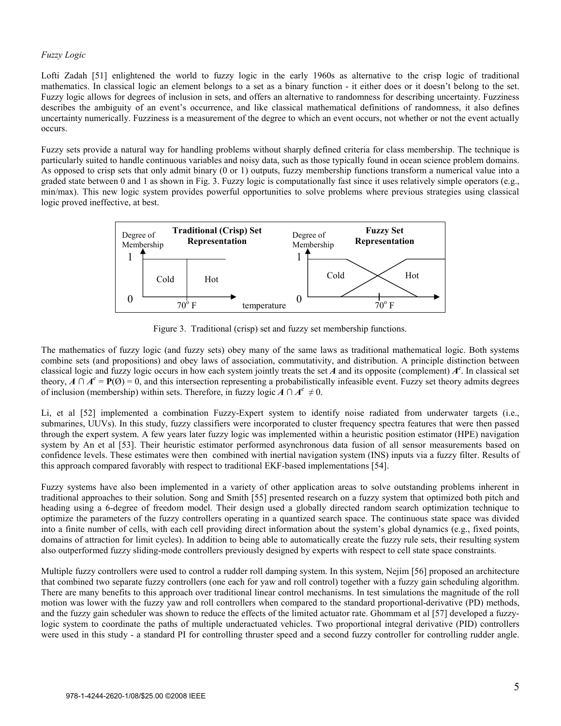## *Fuzzy Logic*

Lofti Zadah [51] enlightened the world to fuzzy logic in the early 1960s as alternative to the crisp logic of traditional mathematics. In classical logic an element belongs to a set as a binary function - it either does or it doesn't belong to the set. Fuzzy logic allows for degrees of inclusion in sets, and offers an alternative to randomness for describing uncertainty. Fuzziness describes the ambiguity of an event's occurrence, and like classical mathematical definitions of randomness, it also defines uncertainty numerically. Fuzziness is a measurement of the degree to which an event occurs, not whether or not the event actually occurs.

Fuzzy sets provide a natural way for handling problems without sharply defined criteria for class membership. The technique is particularly suited to handle continuous variables and noisy data, such as those typically found in ocean science problem domains. As opposed to crisp sets that only admit binary (0 or 1) outputs, fuzzy membership functions transform a numerical value into a graded state between 0 and 1 as shown in Fig. 3. Fuzzy logic is computationally fast since it uses relatively simple operators (e.g., min/max). This new logic system provides powerful opportunities to solve problems where previous strategies using classical logic proved ineffective, at best.



Figure 3. Traditional (crisp) set and fuzzy set membership functions.

The mathematics of fuzzy logic (and fuzzy sets) obey many of the same laws as traditional mathematical logic. Both systems combine sets (and propositions) and obey laws of association, commutativity, and distribution. A principle distinction between classical logic and fuzzy logic occurs in how each system jointly treats the set  $\vec{A}$  and its opposite (complement)  $A^c$ . In classical set theory,  $A \cap A^c = P(\emptyset) = 0$ , and this intersection representing a probabilistically infeasible event. Fuzzy set theory admits degrees of inclusion (membership) within sets. Therefore, in fuzzy logic  $A \cap A^c \neq 0$ .

Li, et al [52] implemented a combination Fuzzy-Expert system to identify noise radiated from underwater targets (i.e., submarines, UUVs). In this study, fuzzy classifiers were incorporated to cluster frequency spectra features that were then passed through the expert system. A few years later fuzzy logic was implemented within a heuristic position estimator (HPE) navigation system by An et al [53]. Their heuristic estimator performed asynchronous data fusion of all sensor measurements based on confidence levels. These estimates were then combined with inertial navigation system (INS) inputs via a fuzzy filter. Results of this approach compared favorably with respect to traditional EKF-based implementations [54].

Fuzzy systems have also been implemented in a variety of other application areas to solve outstanding problems inherent in traditional approaches to their solution. Song and Smith [55] presented research on a fuzzy system that optimized both pitch and heading using a 6-degree of freedom model. Their design used a globally directed random search optimization technique to optimize the parameters of the fuzzy controllers operating in a quantized search space. The continuous state space was divided into a finite number of cells, with each cell providing direct information about the system's global dynamics (e.g., fixed points, domains of attraction for limit cycles). In addition to being able to automatically create the fuzzy rule sets, their resulting system also outperformed fuzzy sliding-mode controllers previously designed by experts with respect to cell state space constraints.

Multiple fuzzy controllers were used to control a rudder roll damping system. In this system, Nejim [56] proposed an architecture that combined two separate fuzzy controllers (one each for yaw and roll control) together with a fuzzy gain scheduling algorithm. There are many benefits to this approach over traditional linear control mechanisms. In test simulations the magnitude of the roll motion was lower with the fuzzy yaw and roll controllers when compared to the standard proportional-derivative (PD) methods, and the fuzzy gain scheduler was shown to reduce the effects of the limited actuator rate. Ghommam et al [57] developed a fuzzylogic system to coordinate the paths of multiple underactuated vehicles. Two proportional integral derivative (PID) controllers were used in this study - a standard PI for controlling thruster speed and a second fuzzy controller for controlling rudder angle.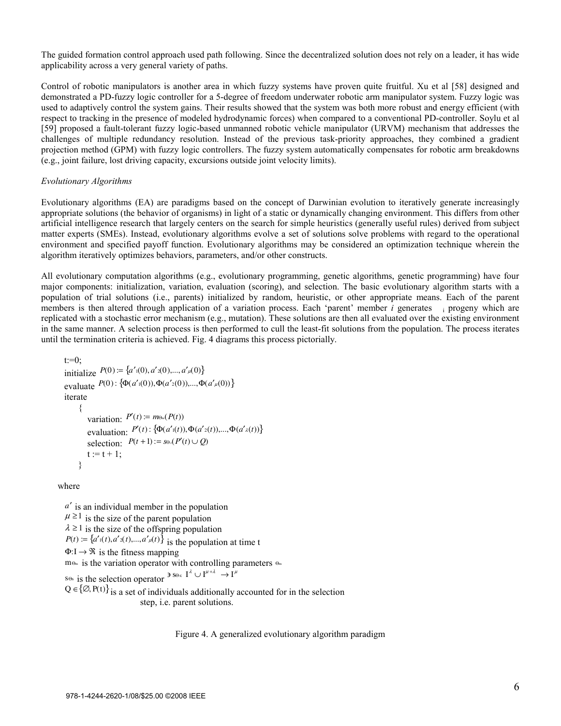The guided formation control approach used path following. Since the decentralized solution does not rely on a leader, it has wide applicability across a very general variety of paths.

Control of robotic manipulators is another area in which fuzzy systems have proven quite fruitful. Xu et al [58] designed and demonstrated a PD-fuzzy logic controller for a 5-degree of freedom underwater robotic arm manipulator system. Fuzzy logic was used to adaptively control the system gains. Their results showed that the system was both more robust and energy efficient (with respect to tracking in the presence of modeled hydrodynamic forces) when compared to a conventional PD-controller. Soylu et al [59] proposed a fault-tolerant fuzzy logic-based unmanned robotic vehicle manipulator (URVM) mechanism that addresses the challenges of multiple redundancy resolution. Instead of the previous task-priority approaches, they combined a gradient projection method (GPM) with fuzzy logic controllers. The fuzzy system automatically compensates for robotic arm breakdowns (e.g., joint failure, lost driving capacity, excursions outside joint velocity limits).

#### *Evolutionary Algorithms*

Evolutionary algorithms (EA) are paradigms based on the concept of Darwinian evolution to iteratively generate increasingly appropriate solutions (the behavior of organisms) in light of a static or dynamically changing environment. This differs from other artificial intelligence research that largely centers on the search for simple heuristics (generally useful rules) derived from subject matter experts (SMEs). Instead, evolutionary algorithms evolve a set of solutions solve problems with regard to the operational environment and specified payoff function. Evolutionary algorithms may be considered an optimization technique wherein the algorithm iteratively optimizes behaviors, parameters, and/or other constructs.

All evolutionary computation algorithms (e.g., evolutionary programming, genetic algorithms, genetic programming) have four major components: initialization, variation, evaluation (scoring), and selection. The basic evolutionary algorithm starts with a population of trial solutions (i.e., parents) initialized by random, heuristic, or other appropriate means. Each of the parent members is then altered through application of a variation process. Each 'parent' member *i* generates i progeny which are replicated with a stochastic error mechanism (e.g., mutation). These solutions are then all evaluated over the existing environment in the same manner. A selection process is then performed to cull the least-fit solutions from the population. The process iterates until the termination criteria is achieved. Fig. 4 diagrams this process pictorially.

```
t:=0;
initialize P(0) = \{a'_{1}(0), a'_{2}(0),..., a'_{1}(0)\}\ evaluate P(0 ) : { } Φ(a ′ 1(0)),Φ(a ′ 2(0 )),...,Φ(a ′ μ(0))
 iterate 
      { 
         variation: P'(t) := m \Theta_m(P(t))evaluation: P'(t): {\Phi(a'_{1}(t)), \Phi(a'_{2}(t)), ..., \Phi(a'_{\lambda}(t))}
         selection: P(t+1) := s\Theta_s(P'(t) \cup Q)t := t + 1; }
```
where

*a* ′ is an individual member in the population  $\mu \ge 1$  is the size of the parent population  $\lambda \ge 1$  is the size of the offspring population *P*(*t*) := { $a'_{1}(t), a'_{2}(t),..., a'_{n}(t)$ } is the population at time t  $\Phi: I \to \mathfrak{R}$  is the fitness mapping mΘm is the variation operator with controlling parameters Θm SΘs is the selection operator  $\overline{P}$  SΘs  $I^{\lambda} \cup I^{\mu+\lambda}$  $\textbf{I}^\lambda \cup \textbf{I}^{\mu+\lambda}$  $\rightarrow$  I<sup> $\mu$ </sup>  $Q \in \{ \emptyset, P(t) \}$  is a set of individuals additionally accounted for in the selection

step, i.e. parent solutions.

Figure 4. A generalized evolutionary algorithm paradigm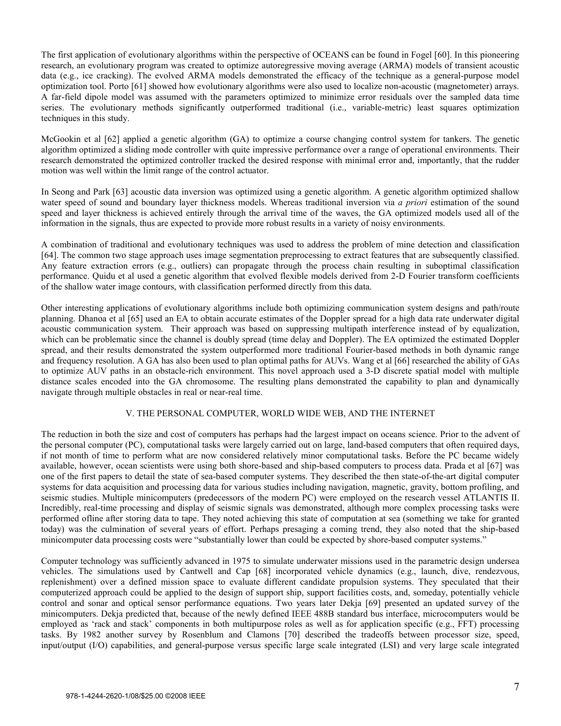The first application of evolutionary algorithms within the perspective of OCEANS can be found in Fogel [60]. In this pioneering research, an evolutionary program was created to optimize autoregressive moving average (ARMA) models of transient acoustic data (e.g., ice cracking). The evolved ARMA models demonstrated the efficacy of the technique as a general-purpose model optimization tool. Porto [61] showed how evolutionary algorithms were also used to localize non-acoustic (magnetometer) arrays. A far-field dipole model was assumed with the parameters optimized to minimize error residuals over the sampled data time series. The evolutionary methods significantly outperformed traditional (i.e., variable-metric) least squares optimization techniques in this study.

McGookin et al [62] applied a genetic algorithm (GA) to optimize a course changing control system for tankers. The genetic algorithm optimized a sliding mode controller with quite impressive performance over a range of operational environments. Their research demonstrated the optimized controller tracked the desired response with minimal error and, importantly, that the rudder motion was well within the limit range of the control actuator.

In Seong and Park [63] acoustic data inversion was optimized using a genetic algorithm. A genetic algorithm optimized shallow water speed of sound and boundary layer thickness models. Whereas traditional inversion via *a priori* estimation of the sound speed and layer thickness is achieved entirely through the arrival time of the waves, the GA optimized models used all of the information in the signals, thus are expected to provide more robust results in a variety of noisy environments.

A combination of traditional and evolutionary techniques was used to address the problem of mine detection and classification [64]. The common two stage approach uses image segmentation preprocessing to extract features that are subsequently classified. Any feature extraction errors (e.g., outliers) can propagate through the process chain resulting in suboptimal classification performance. Quidu et al used a genetic algorithm that evolved flexible models derived from 2-D Fourier transform coefficients of the shallow water image contours, with classification performed directly from this data.

Other interesting applications of evolutionary algorithms include both optimizing communication system designs and path/route planning. Dhanoa et al [65] used an EA to obtain accurate estimates of the Doppler spread for a high data rate underwater digital acoustic communication system. Their approach was based on suppressing multipath interference instead of by equalization, which can be problematic since the channel is doubly spread (time delay and Doppler). The EA optimized the estimated Doppler spread, and their results demonstrated the system outperformed more traditional Fourier-based methods in both dynamic range and frequency resolution. A GA has also been used to plan optimal paths for AUVs. Wang et al [66] researched the ability of GAs to optimize AUV paths in an obstacle-rich environment. This novel approach used a 3-D discrete spatial model with multiple distance scales encoded into the GA chromosome. The resulting plans demonstrated the capability to plan and dynamically navigate through multiple obstacles in real or near-real time.

# V. THE PERSONAL COMPUTER, WORLD WIDE WEB, AND THE INTERNET

The reduction in both the size and cost of computers has perhaps had the largest impact on oceans science. Prior to the advent of the personal computer (PC), computational tasks were largely carried out on large, land-based computers that often required days, if not month of time to perform what are now considered relatively minor computational tasks. Before the PC became widely available, however, ocean scientists were using both shore-based and ship-based computers to process data. Prada et al [67] was one of the first papers to detail the state of sea-based computer systems. They described the then state-of-the-art digital computer systems for data acquisition and processing data for various studies including navigation, magnetic, gravity, bottom profiling, and seismic studies. Multiple minicomputers (predecessors of the modern PC) were employed on the research vessel ATLANTIS II. Incredibly, real-time processing and display of seismic signals was demonstrated, although more complex processing tasks were performed ofline after storing data to tape. They noted achieving this state of computation at sea (something we take for granted today) was the culmination of several years of effort. Perhaps presaging a coming trend, they also noted that the ship-based minicomputer data processing costs were "substantially lower than could be expected by shore-based computer systems."

Computer technology was sufficiently advanced in 1975 to simulate underwater missions used in the parametric design undersea vehicles. The simulations used by Cantwell and Cap [68] incorporated vehicle dynamics (e.g., launch, dive, rendezvous, replenishment) over a defined mission space to evaluate different candidate propulsion systems. They speculated that their computerized approach could be applied to the design of support ship, support facilities costs, and, someday, potentially vehicle control and sonar and optical sensor performance equations. Two years later Dekja [69] presented an updated survey of the minicomputers. Dekja predicted that, because of the newly defined IEEE 488B standard bus interface, microcomputers would be employed as 'rack and stack' components in both multipurpose roles as well as for application specific (e.g., FFT) processing tasks. By 1982 another survey by Rosenblum and Clamons [70] described the tradeoffs between processor size, speed, input/output (I/O) capabilities, and general-purpose versus specific large scale integrated (LSI) and very large scale integrated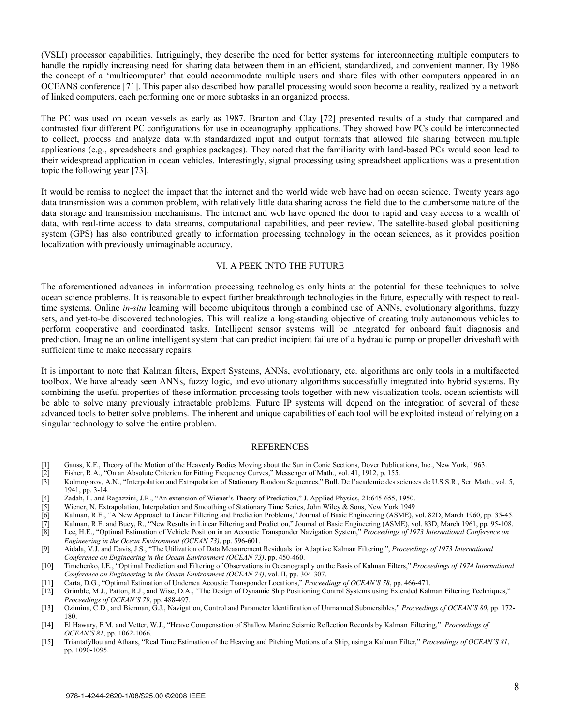(VSLI) processor capabilities. Intriguingly, they describe the need for better systems for interconnecting multiple computers to handle the rapidly increasing need for sharing data between them in an efficient, standardized, and convenient manner. By 1986 the concept of a 'multicomputer' that could accommodate multiple users and share files with other computers appeared in an OCEANS conference [71]. This paper also described how parallel processing would soon become a reality, realized by a network of linked computers, each performing one or more subtasks in an organized process.

The PC was used on ocean vessels as early as 1987. Branton and Clay [72] presented results of a study that compared and contrasted four different PC configurations for use in oceanography applications. They showed how PCs could be interconnected to collect, process and analyze data with standardized input and output formats that allowed file sharing between multiple applications (e.g., spreadsheets and graphics packages). They noted that the familiarity with land-based PCs would soon lead to their widespread application in ocean vehicles. Interestingly, signal processing using spreadsheet applications was a presentation topic the following year [73].

It would be remiss to neglect the impact that the internet and the world wide web have had on ocean science. Twenty years ago data transmission was a common problem, with relatively little data sharing across the field due to the cumbersome nature of the data storage and transmission mechanisms. The internet and web have opened the door to rapid and easy access to a wealth of data, with real-time access to data streams, computational capabilities, and peer review. The satellite-based global positioning system (GPS) has also contributed greatly to information processing technology in the ocean sciences, as it provides position localization with previously unimaginable accuracy.

#### VI. A PEEK INTO THE FUTURE

The aforementioned advances in information processing technologies only hints at the potential for these techniques to solve ocean science problems. It is reasonable to expect further breakthrough technologies in the future, especially with respect to realtime systems. Online *in-situ* learning will become ubiquitous through a combined use of ANNs, evolutionary algorithms, fuzzy sets, and yet-to-be discovered technologies. This will realize a long-standing objective of creating truly autonomous vehicles to perform cooperative and coordinated tasks. Intelligent sensor systems will be integrated for onboard fault diagnosis and prediction. Imagine an online intelligent system that can predict incipient failure of a hydraulic pump or propeller driveshaft with sufficient time to make necessary repairs.

It is important to note that Kalman filters, Expert Systems, ANNs, evolutionary, etc. algorithms are only tools in a multifaceted toolbox. We have already seen ANNs, fuzzy logic, and evolutionary algorithms successfully integrated into hybrid systems. By combining the useful properties of these information processing tools together with new visualization tools, ocean scientists will be able to solve many previously intractable problems. Future IP systems will depend on the integration of several of these advanced tools to better solve problems. The inherent and unique capabilities of each tool will be exploited instead of relying on a singular technology to solve the entire problem.

#### REFERENCES

- [1] Gauss, K.F., Theory of the Motion of the Heavenly Bodies Moving about the Sun in Conic Sections, Dover Publications, Inc., New York, 1963.
- [2] Fisher, R.A., "On an Absolute Criterion for Fitting Frequency Curves," Messenger of Math., vol. 41, 1912, p. 155.
- [3] Kolmogorov, A.N., "Interpolation and Extrapolation of Stationary Random Sequences," Bull. De l'academie des sciences de U.S.S.R., Ser. Math., vol. 5, 1941, pp. 3-14.
- [4] Zadah, L. and Ragazzini, J.R., "An extension of Wiener's Theory of Prediction," J. Applied Physics, 21:645-655, 1950.
- [5] Wiener, N. Extrapolation, Interpolation and Smoothing of Stationary Time Series, John Wiley & Sons, New York 1949
- [6] Kalman, R.E., "A New Approach to Linear Filtering and Prediction Problems," Journal of Basic Engineering (ASME), vol. 82D, March 1960, pp. 35-45.
- [7] Kalman, R.E. and Bucy, R., "New Results in Linear Filtering and Prediction," Journal of Basic Engineering (ASME), vol. 83D, March 1961, pp. 95-108.
- [8] Lee, H.E., "Optimal Estimation of Vehicle Position in an Acoustic Transponder Navigation System," *Proceedings of 1973 International Conference on Engineering in the Ocean Environment (OCEAN 73)*, pp. 596-601.
- [9] Aidala, V.J. and Davis, J.S., "The Utilization of Data Measurement Residuals for Adaptive Kalman Filtering,", *Proceedings of 1973 International Conference on Engineering in the Ocean Environment (OCEAN 73)*, pp. 450-460.
- [10] Timchenko, I.E., "Optimal Prediction and Filtering of Observations in Oceanography on the Basis of Kalman Filters," *Proceedings of 1974 International Conference on Engineering in the Ocean Environment (OCEAN 74)*, vol. II, pp. 304-307.
- [11] Carta, D.G., "Optimal Estimation of Undersea Acoustic Transponder Locations," *Proceedings of OCEAN'S 78*, pp. 466-471.
- [12] Grimble, M.J., Patton, R.J., and Wise, D.A., "The Design of Dynamic Ship Positioning Control Systems using Extended Kalman Filtering Techniques," *Proceedings of OCEAN'S 79*, pp. 488-497.
- [13] Ozimina, C.D., and Bierman, G.J., Navigation, Control and Parameter Identification of Unmanned Submersibles," *Proceedings of OCEAN'S 80*, pp. 172- 180.
- [14] El Hawary, F.M. and Vetter, W.J., "Heave Compensation of Shallow Marine Seismic Reflection Records by Kalman Filtering," *Proceedings of OCEAN'S 81*, pp. 1062-1066.
- [15] Triantafyllou and Athans, "Real Time Estimation of the Heaving and Pitching Motions of a Ship, using a Kalman Filter," *Proceedings of OCEAN'S 81*, pp. 1090-1095.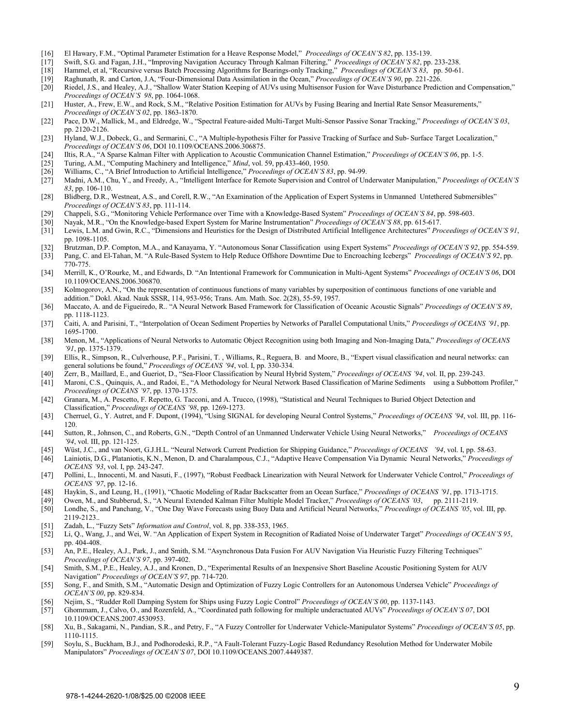- [16] El Hawary, F.M., "Optimal Parameter Estimation for a Heave Response Model," *Proceedings of OCEAN'S 82*, pp. 135-139.
- [17] Swift, S.G. and Fagan, J.H., "Improving Navigation Accuracy Through Kalman Filtering," *Proceedings of OCEAN'S 82*, pp. 233-238.
- [18] Hammel, et al, "Recursive versus Batch Processing Algorithms for Bearings-only Tracking," *Proceedings of OCEAN'S 83*, pp. 50-61.
- [19] Raghunath, R. and Carton, J.A, "Four-Dimensional Data Assimilation in the Ocean," *Proceedings of OCEAN'S 90*, pp. 221-226.
- [20] Riedel, J.S., and Healey, A.J., "Shallow Water Station Keeping of AUVs using Multisensor Fusion for Wave Disturbance Prediction and Compensation," *Proceedings of OCEAN'S 98*, pp. 1064-1068.
- [21] Huster, A., Frew, E.W., and Rock, S.M., "Relative Position Estimation for AUVs by Fusing Bearing and Inertial Rate Sensor Measurements," *Proceedings of OCEAN'S 02*, pp. 1863-1870.
- [22] Pace, D.W., Mallick, M., and Eldredge, W., "Spectral Feature-aided Multi-Target Multi-Sensor Passive Sonar Tracking," *Proceedings of OCEAN'S 03*, pp. 2120-2126.
- [23] Hyland, W.J., Dobeck, G., and Sermarini, C., "A Multiple-hypothesis Filter for Passive Tracking of Surface and Sub- Surface Target Localization," *Proceedings of OCEAN'S 06*, DOI 10.1109/OCEANS.2006.306875.
- [24] Iltis, R.A., "A Sparse Kalman Filter with Application to Acoustic Communication Channel Estimation," *Proceedings of OCEAN'S 06*, pp. 1-5.
- [25] Turing, A.M., "Computing Machinery and Intelligence," *Mind*, vol. 59, pp.433-460, 1950.
- [26] Williams, C., "A Brief Introduction to Artificial Intelligence," *Proceedings of OCEAN'S 83*, pp. 94-99.
- [27] Madni, A.M., Chu, Y., and Freedy, A., "Intelligent Interface for Remote Supervision and Control of Underwater Manipulation," *Proceedings of OCEAN'S 83*, pp. 106-110.
- [28] Blidberg, D.R., Westneat, A.S., and Corell, R.W., "An Examination of the Application of Expert Systems in Unmanned Untethered Submersibles" *Proceedings of OCEAN'S 83*, pp. 111-114.
- [29] Chappeli, S.G., "Monitoring Vehicle Performance over Time with a Knowledge-Based System" *Proceedings of OCEAN'S 84*, pp. 598-603.
- [30] Nayak, M.R., "On the Knowledge-based Expert System for Marine Instrumentation" *Proceedings of OCEAN'S 88*, pp. 615-617.
- [31] Lewis, L.M. and Gwin, R.C., "Dimensions and Heuristics for the Design of Distributed Artificial Intelligence Architectures" *Proceedings of OCEAN'S 91*, pp. 1098-1105.
- [32] Brutzman, D.P. Compton, M.A., and Kanayama, Y. "Autonomous Sonar Classification using Expert Systems" *Proceedings of OCEAN'S 92*, pp. 554-559.
- [33] Pang, C. and El-Tahan, M. "A Rule-Based System to Help Reduce Offshore Downtime Due to Encroaching Icebergs" *Proceedings of OCEAN'S 92*, pp. 770-775.
- [34] Merrill, K., O'Rourke, M., and Edwards, D. "An Intentional Framework for Communication in Multi-Agent Systems" *Proceedings of OCEAN'S 06*, DOI 10.1109/OCEANS.2006.306870.
- [35] Kolmogorov, A.N., "On the representation of continuous functions of many variables by superposition of continuous functions of one variable and addition." Dokl. Akad. Nauk SSSR, 114, 953-956; Trans. Am. Math. Soc. 2(28), 55-59, 1957.
- [36] Maccato, A. and de Figueiredo, R.. "A Neural Network Based Framework for Classification of Oceanic Acoustic Signals" *Proceedings of OCEAN'S 89*, pp. 1118-1123.
- [37] Caiti, A. and Parisini, T., "Interpolation of Ocean Sediment Properties by Networks of Parallel Computational Units," *Proceedings of OCEANS '91*, pp. 1695-1700.
- [38] Menon, M., "Applications of Neural Networks to Automatic Object Recognition using both Imaging and Non-Imaging Data," *Proceedings of OCEANS '91*, pp. 1375-1379.
- [39] Ellis, R., Simpson, R., Culverhouse, P.F., Parisini, T. , Williams, R., Reguera, B. and Moore, B., "Expert visual classification and neural networks: can general solutions be found," *Proceedings of OCEANS '94*, vol. I, pp. 330-334.
- [40] Zerr, B., Maillard, E., and Gueriot, D., "Sea-Floor Classification by Neural Hybrid System," *Proceedings of OCEANS '94*, vol. II, pp. 239-243.
- [41] Maroni, C.S., Quinquis, A., and Radoi, E., "A Methodology for Neural Network Based Classification of Marine Sediments using a Subbottom Profiler," *Proceedings of OCEANS '97*, pp. 1370-1375.
- [42] Granara, M., A. Pescetto, F. Repetto, G. Tacconi, and A. Trucco, (1998), "Statistical and Neural Techniques to Buried Object Detection and Classification," *Proceedings of OCEANS '98*, pp. 1269-1273.
- [43] Cherruel, G., Y. Autret, and F. Dupont, (1994), "Using SIGNAL for developing Neural Control Systems," *Proceedings of OCEANS '94*, vol. III, pp. 116- 120.
- [44] Sutton, R., Johnson, C., and Roberts, G.N., "Depth Control of an Unmanned Underwater Vehicle Using Neural Networks," *Proceedings of OCEANS '94*, vol. III, pp. 121-125.
- [45] Wüst, J.C., and van Noort, G.J.H.L. "Neural Network Current Prediction for Shipping Guidance," *Proceedings of OCEANS '94*, vol. I, pp. 58-63.
- [46] Lainiotis, D.G., Plataniotis, K.N., Menon, D. and Charalampous, C.J., "Adaptive Heave Compensation Via Dynamic Neural Networks," *Proceedings of OCEANS '93*, vol. I, pp. 243-247.
- [47] Pollini, L., Innocenti, M. and Nasuti, F., (1997), "Robust Feedback Linearization with Neural Network for Underwater Vehicle Control," *Proceedings of OCEANS '97*, pp. 12-16.<br>[48] Havkin, S., and Leung, F.
- [48] Haykin, S., and Leung, H., (1991), "Chaotic Modeling of Radar Backscatter from an Ocean Surface," *Proceedings of OCEANS '91*, pp. 1713-1715.
- [49] Owen, M., and Stubberud, S., "A Neural Extended Kalman Filter Multiple Model Tracker," *Proceedings of OCEANS '03*, pp. 2111-2119.
- [50] Londhe, S., and Panchang, V., "One Day Wave Forecasts using Buoy Data and Artificial Neural Networks," *Proceedings of OCEANS '05*, vol. III, pp. 2119-2123..
- [51] Zadah, L., "Fuzzy Sets" *Information and Control*, vol. 8, pp. 338-353, 1965.
- [52] Li, Q., Wang, J., and Wei, W. "An Application of Expert System in Recognition of Radiated Noise of Underwater Target" *Proceedings of OCEAN'S 95*, pp. 404-408.
- [53] An, P.E., Healey, A.J., Park, J., and Smith, S.M. "Asynchronous Data Fusion For AUV Navigation Via Heuristic Fuzzy Filtering Techniques" *Proceedings of OCEAN'S 97*, pp. 397-402.
- [54] Smith, S.M., P.E., Healey, A.J., and Kronen, D., "Experimental Results of an Inexpensive Short Baseline Acoustic Positioning System for AUV Navigation" *Proceedings of OCEAN'S 97*, pp. 714-720.
- [55] Song, F., and Smith, S.M., "Automatic Design and Optimization of Fuzzy Logic Controllers for an Autonomous Undersea Vehicle" *Proceedings of OCEAN'S 00*, pp. 829-834.
- [56] Nejim, S., "Rudder Roll Damping System for Ships using Fuzzy Logic Control" *Proceedings of OCEAN'S 00*, pp. 1137-1143.
- [57] Ghommam, J., Calvo, O., and Rozenfeld, A., "Coordinated path following for multiple underactuated AUVs" *Proceedings of OCEAN'S 07*, DOI 10.1109/OCEANS.2007.4530953.
- [58] Xu, B., Sakagami, N., Pandian, S.R., and Petry, F., "A Fuzzy Controller for Underwater Vehicle-Manipulator Systems" *Proceedings of OCEAN'S 05*, pp. 1110-1115.
- [59] Soylu, S., Buckham, B.J., and Podhorodeski, R.P., "A Fault-Tolerant Fuzzy-Logic Based Redundancy Resolution Method for Underwater Mobile Manipulators" *Proceedings of OCEAN'S 07*, DOI 10.1109/OCEANS.2007.4449387.